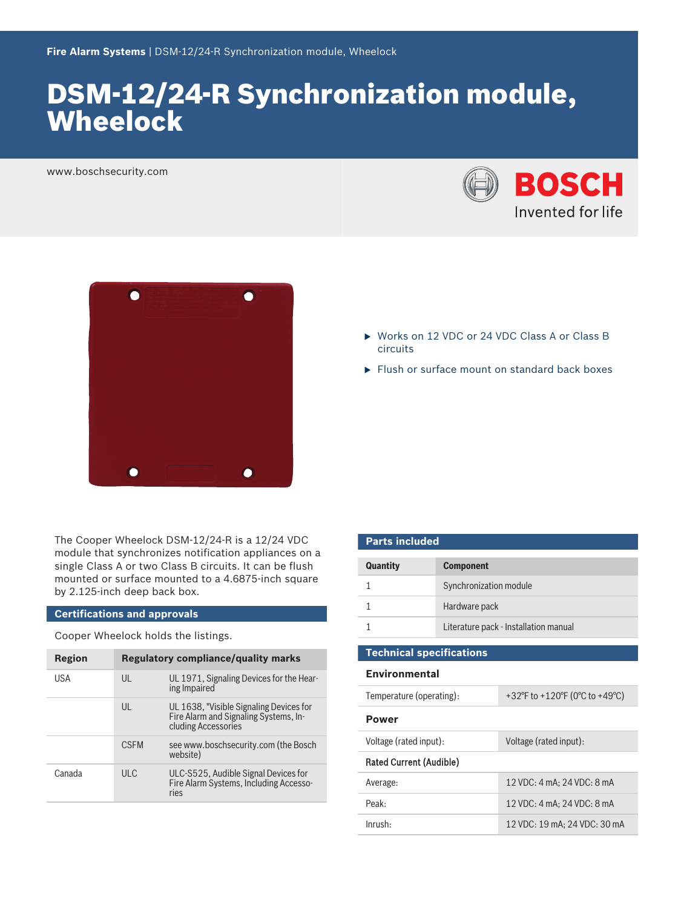# DSM-12/24-R Synchronization module, **Wheelock**

www.boschsecurity.com





The Cooper Wheelock DSM-12/24-R is a 12/24 VDC module that synchronizes notification appliances on a single Class A or two Class B circuits. It can be flush mounted or surface mounted to a 4.6875‑inch square by 2.125‑inch deep back box.

#### **Certifications and approvals**

Cooper Wheelock holds the listings.

| Region | <b>Regulatory compliance/quality marks</b> |                                                                                                         |
|--------|--------------------------------------------|---------------------------------------------------------------------------------------------------------|
| USA    | $\mathsf{U}$                               | UL 1971, Signaling Devices for the Hear-<br>ing Impaired                                                |
|        | $\mathsf{U}$                               | UL 1638, "Visible Signaling Devices for<br>Fire Alarm and Signaling Systems, In-<br>cluding Accessories |
|        | <b>CSEM</b>                                | see www.boschsecurity.com (the Bosch<br>website)                                                        |
| Canada | ULC                                        | ULC-S525, Audible Signal Devices for<br>Fire Alarm Systems, Including Accesso-<br>ries                  |

- ▶ Works on 12 VDC or 24 VDC Class A or Class B circuits
- $\blacktriangleright$  Flush or surface mount on standard back boxes

| <b>Parts included</b>           |                                       |  |
|---------------------------------|---------------------------------------|--|
| <b>Quantity</b>                 | <b>Component</b>                      |  |
|                                 | Synchronization module                |  |
|                                 | Hardware pack                         |  |
|                                 | Literature pack - Installation manual |  |
| <b>Technical specifications</b> |                                       |  |
| <b>Environmental</b>            |                                       |  |

| Temperature (operating):       | +32°F to +120°F (0°C to +49°C) |  |
|--------------------------------|--------------------------------|--|
| <b>Power</b>                   |                                |  |
| Voltage (rated input):         | Voltage (rated input):         |  |
| <b>Rated Current (Audible)</b> |                                |  |
| Average:                       | 12 VDC: 4 mA: 24 VDC: 8 mA     |  |
| Peak:                          | 12 VDC: 4 mA: 24 VDC: 8 mA     |  |
| Inrush:                        | 12 VDC: 19 mA; 24 VDC: 30 mA   |  |
|                                |                                |  |